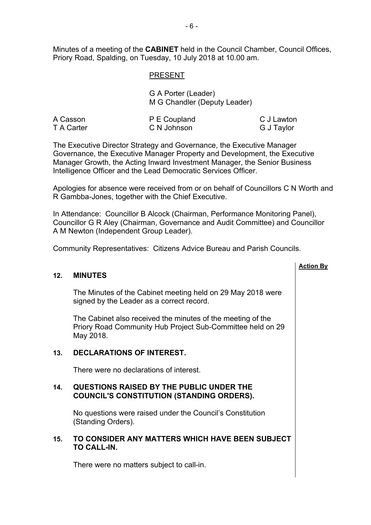Minutes of a meeting of the **CABINET** held in the Council Chamber, Council Offices, Priory Road, Spalding, on Tuesday, 10 July 2018 at 10.00 am.

# PRESENT

| G A Porter (Leader)          |  |
|------------------------------|--|
| M G Chandler (Deputy Leader) |  |

| A Casson   | P E Coupland | C J Lawton |
|------------|--------------|------------|
| T A Carter | C N Johnson  | G J Taylor |

The Executive Director Strategy and Governance, the Executive Manager Governance, the Executive Manager Property and Development, the Executive Manager Growth, the Acting Inward Investment Manager, the Senior Business Intelligence Officer and the Lead Democratic Services Officer.

Apologies for absence were received from or on behalf of Councillors C N Worth and R Gambba-Jones, together with the Chief Executive.

In Attendance: Councillor B Alcock (Chairman, Performance Monitoring Panel), Councillor G R Aley (Chairman, Governance and Audit Committee) and Councillor A M Newton (Independent Group Leader).

Community Representatives: Citizens Advice Bureau and Parish Councils.

# **Action By 12. MINUTES** The Minutes of the Cabinet meeting held on 29 May 2018 were signed by the Leader as a correct record. The Cabinet also received the minutes of the meeting of the Priory Road Community Hub Project Sub-Committee held on 29 May 2018. **13. DECLARATIONS OF INTEREST.** There were no declarations of interest. **14. QUESTIONS RAISED BY THE PUBLIC UNDER THE COUNCIL'S CONSTITUTION (STANDING ORDERS).** No questions were raised under the Council's Constitution (Standing Orders). **15. TO CONSIDER ANY MATTERS WHICH HAVE BEEN SUBJECT TO CALL-IN.**

There were no matters subject to call-in.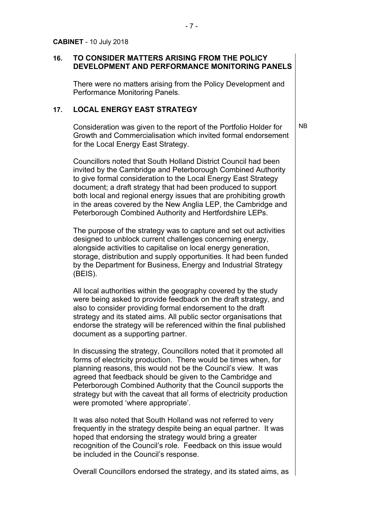# **16. TO CONSIDER MATTERS ARISING FROM THE POLICY DEVELOPMENT AND PERFORMANCE MONITORING PANELS**

There were no matters arising from the Policy Development and Performance Monitoring Panels.

## **17. LOCAL ENERGY EAST STRATEGY**

Consideration was given to the report of the Portfolio Holder for Growth and Commercialisation which invited formal endorsement for the Local Energy East Strategy.

NB

Councillors noted that South Holland District Council had been invited by the Cambridge and Peterborough Combined Authority to give formal consideration to the Local Energy East Strategy document; a draft strategy that had been produced to support both local and regional energy issues that are prohibiting growth in the areas covered by the New Anglia LEP, the Cambridge and Peterborough Combined Authority and Hertfordshire LEPs.

The purpose of the strategy was to capture and set out activities designed to unblock current challenges concerning energy, alongside activities to capitalise on local energy generation, storage, distribution and supply opportunities. It had been funded by the Department for Business, Energy and Industrial Strategy (BEIS).

All local authorities within the geography covered by the study were being asked to provide feedback on the draft strategy, and also to consider providing formal endorsement to the draft strategy and its stated aims. All public sector organisations that endorse the strategy will be referenced within the final published document as a supporting partner.

In discussing the strategy, Councillors noted that it promoted all forms of electricity production. There would be times when, for planning reasons, this would not be the Council's view. It was agreed that feedback should be given to the Cambridge and Peterborough Combined Authority that the Council supports the strategy but with the caveat that all forms of electricity production were promoted 'where appropriate'.

It was also noted that South Holland was not referred to very frequently in the strategy despite being an equal partner. It was hoped that endorsing the strategy would bring a greater recognition of the Council's role. Feedback on this issue would be included in the Council's response.

Overall Councillors endorsed the strategy, and its stated aims, as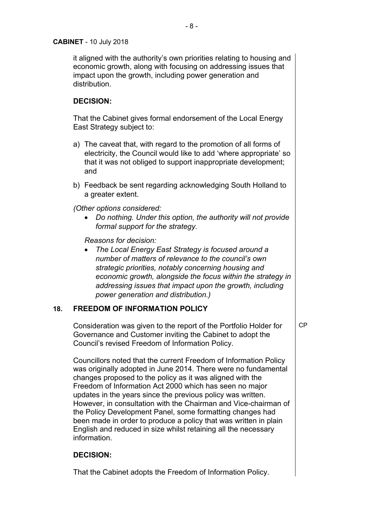# **CABINET** - 10 July 2018

it aligned with the authority's own priorities relating to housing and economic growth, along with focusing on addressing issues that impact upon the growth, including power generation and distribution.

# **DECISION:**

That the Cabinet gives formal endorsement of the Local Energy East Strategy subject to:

- a) The caveat that, with regard to the promotion of all forms of electricity, the Council would like to add 'where appropriate' so that it was not obliged to support inappropriate development; and
- b) Feedback be sent regarding acknowledging South Holland to a greater extent.

*(Other options considered:*

 *Do nothing. Under this option, the authority will not provide formal support for the strategy.*

*Reasons for decision:*

 *The Local Energy East Strategy is focused around a number of matters of relevance to the council's own strategic priorities, notably concerning housing and economic growth, alongside the focus within the strategy in addressing issues that impact upon the growth, including power generation and distribution.)*

# **18. FREEDOM OF INFORMATION POLICY**

Consideration was given to the report of the Portfolio Holder for Governance and Customer inviting the Cabinet to adopt the Council's revised Freedom of Information Policy. CP

Councillors noted that the current Freedom of Information Policy was originally adopted in June 2014. There were no fundamental changes proposed to the policy as it was aligned with the Freedom of Information Act 2000 which has seen no major updates in the years since the previous policy was written. However, in consultation with the Chairman and Vice-chairman of the Policy Development Panel, some formatting changes had been made in order to produce a policy that was written in plain English and reduced in size whilst retaining all the necessary information.

# **DECISION:**

That the Cabinet adopts the Freedom of Information Policy.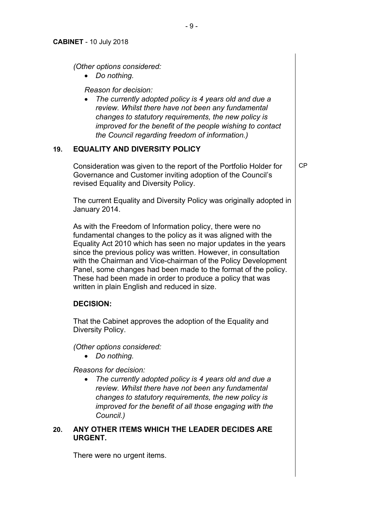*(Other options considered:*

*Do nothing.*

*Reason for decision:*

 *The currently adopted policy is 4 years old and due a review. Whilst there have not been any fundamental changes to statutory requirements, the new policy is improved for the benefit of the people wishing to contact the Council regarding freedom of information.)*

# **19. EQUALITY AND DIVERSITY POLICY**

Consideration was given to the report of the Portfolio Holder for Governance and Customer inviting adoption of the Council's revised Equality and Diversity Policy.

CP

The current Equality and Diversity Policy was originally adopted in January 2014.

As with the Freedom of Information policy, there were no fundamental changes to the policy as it was aligned with the Equality Act 2010 which has seen no major updates in the years since the previous policy was written. However, in consultation with the Chairman and Vice-chairman of the Policy Development Panel, some changes had been made to the format of the policy. These had been made in order to produce a policy that was written in plain English and reduced in size.

# **DECISION:**

That the Cabinet approves the adoption of the Equality and Diversity Policy.

*(Other options considered:*

*Do nothing.*

*Reasons for decision:*

 *The currently adopted policy is 4 years old and due a review. Whilst there have not been any fundamental changes to statutory requirements, the new policy is improved for the benefit of all those engaging with the Council.)*

# **20. ANY OTHER ITEMS WHICH THE LEADER DECIDES ARE URGENT.**

There were no urgent items.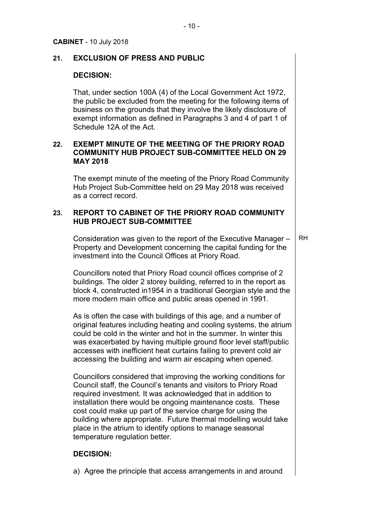# **21. EXCLUSION OF PRESS AND PUBLIC**

#### **DECISION:**

That, under section 100A (4) of the Local Government Act 1972, the public be excluded from the meeting for the following items of business on the grounds that they involve the likely disclosure of exempt information as defined in Paragraphs 3 and 4 of part 1 of Schedule 12A of the Act.

# **22. EXEMPT MINUTE OF THE MEETING OF THE PRIORY ROAD COMMUNITY HUB PROJECT SUB-COMMITTEE HELD ON 29 MAY 2018**

The exempt minute of the meeting of the Priory Road Community Hub Project Sub-Committee held on 29 May 2018 was received as a correct record.

# **23. REPORT TO CABINET OF THE PRIORY ROAD COMMUNITY HUB PROJECT SUB-COMMITTEE**

Consideration was given to the report of the Executive Manager – Property and Development concerning the capital funding for the investment into the Council Offices at Priory Road. RH

Councillors noted that Priory Road council offices comprise of 2 buildings. The older 2 storey building, referred to in the report as block 4, constructed in1954 in a traditional Georgian style and the more modern main office and public areas opened in 1991.

As is often the case with buildings of this age, and a number of original features including heating and cooling systems, the atrium could be cold in the winter and hot in the summer. In winter this was exacerbated by having multiple ground floor level staff/public accesses with inefficient heat curtains failing to prevent cold air accessing the building and warm air escaping when opened.

Councillors considered that improving the working conditions for Council staff, the Council's tenants and visitors to Priory Road required investment. It was acknowledged that in addition to installation there would be ongoing maintenance costs. These cost could make up part of the service charge for using the building where appropriate. Future thermal modelling would take place in the atrium to identify options to manage seasonal temperature regulation better.

## **DECISION:**

a) Agree the principle that access arrangements in and around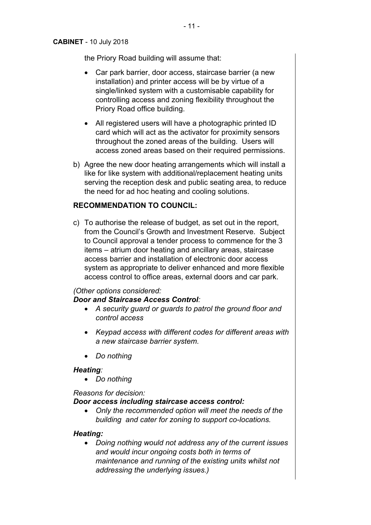#### **CABINET** - 10 July 2018

the Priory Road building will assume that:

- Car park barrier, door access, staircase barrier (a new installation) and printer access will be by virtue of a single/linked system with a customisable capability for controlling access and zoning flexibility throughout the Priory Road office building.
- All registered users will have a photographic printed ID card which will act as the activator for proximity sensors throughout the zoned areas of the building. Users will access zoned areas based on their required permissions.
- b) Agree the new door heating arrangements which will install a like for like system with additional/replacement heating units serving the reception desk and public seating area, to reduce the need for ad hoc heating and cooling solutions.

# **RECOMMENDATION TO COUNCIL:**

c) To authorise the release of budget, as set out in the report, from the Council's Growth and Investment Reserve. Subject to Council approval a tender process to commence for the 3 items – atrium door heating and ancillary areas, staircase access barrier and installation of electronic door access system as appropriate to deliver enhanced and more flexible access control to office areas, external doors and car park.

# *(Other options considered:*

# *Door and Staircase Access Control:*

- *A security guard or guards to patrol the ground floor and control access*
- *Keypad access with different codes for different areas with a new staircase barrier system.*
- *Do nothing*

# *Heating:*

*Do nothing*

*Reasons for decision:*

# *Door access including staircase access control:*

 *Only the recommended option will meet the needs of the building and cater for zoning to support co-locations.*

# *Heating:*

 *Doing nothing would not address any of the current issues and would incur ongoing costs both in terms of maintenance and running of the existing units whilst not addressing the underlying issues.)*